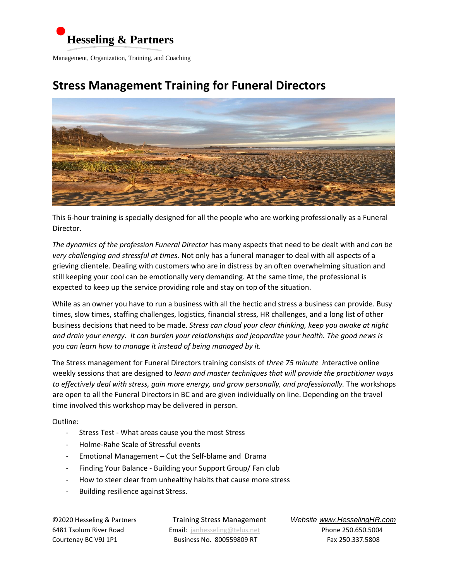

Management, Organization, Training, and Coaching

## **Stress Management Training for Funeral Directors**



This 6-hour training is specially designed for all the people who are working professionally as a Funeral Director.

*The dynamics of the profession Funeral Director* has many aspects that need to be dealt with and *can be very challenging and stressful at times.* Not only has a funeral manager to deal with all aspects of a grieving clientele. Dealing with customers who are in distress by an often overwhelming situation and still keeping your cool can be emotionally very demanding. At the same time, the professional is expected to keep up the service providing role and stay on top of the situation.

While as an owner you have to run a business with all the hectic and stress a business can provide. Busy times, slow times, staffing challenges, logistics, financial stress, HR challenges, and a long list of other business decisions that need to be made. *Stress can cloud your clear thinking, keep you awake at night and drain your energy. It can burden your relationships and jeopardize your health. The good news is you can learn how to manage it instead of being managed by it.* 

The Stress management for Funeral Directors training consists of *three 75 minute i*nteractive online weekly sessions that are designed to *learn and master techniques that will provide the practitioner ways to effectively deal with stress, gain more energy, and grow personally, and professionally.* The workshops are open to all the Funeral Directors in BC and are given individually on line. Depending on the travel time involved this workshop may be delivered in person.

Outline:

- Stress Test What areas cause you the most Stress
- Holme-Rahe Scale of Stressful events
- Emotional Management Cut the Self-blame and Drama
- Finding Your Balance Building your Support Group/ Fan club
- How to steer clear from unhealthy habits that cause more stress
- Building resilience against Stress.

6481 Tsolum River Road Email: janhesseling@telus.net Phone 250.650.5004 Courtenay BC V9J 1P1 Business No. 800559809 RT Fax 250.337.5808

©2020 Hesseling & PartnersTraining Stress Management *Website www.HesselingHR.com*